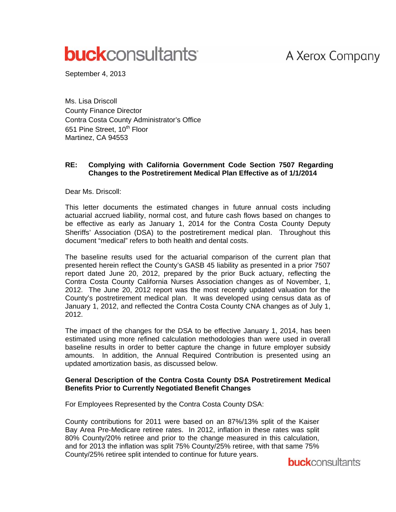## A Xerox Company

# **buck**consultants

September 4, 2013

Ms. Lisa Driscoll County Finance Director Contra Costa County Administrator's Office 651 Pine Street, 10<sup>th</sup> Floor Martinez, CA 94553

#### **RE: Complying with California Government Code Section 7507 Regarding Changes to the Postretirement Medical Plan Effective as of 1/1/2014**

Dear Ms. Driscoll:

This letter documents the estimated changes in future annual costs including actuarial accrued liability, normal cost, and future cash flows based on changes to be effective as early as January 1, 2014 for the Contra Costa County Deputy Sheriffs' Association (DSA) to the postretirement medical plan. Throughout this document "medical" refers to both health and dental costs.

The baseline results used for the actuarial comparison of the current plan that presented herein reflect the County's GASB 45 liability as presented in a prior 7507 report dated June 20, 2012, prepared by the prior Buck actuary, reflecting the Contra Costa County California Nurses Association changes as of November, 1, 2012. The June 20, 2012 report was the most recently updated valuation for the County's postretirement medical plan. It was developed using census data as of January 1, 2012, and reflected the Contra Costa County CNA changes as of July 1, 2012.

The impact of the changes for the DSA to be effective January 1, 2014, has been estimated using more refined calculation methodologies than were used in overall baseline results in order to better capture the change in future employer subsidy amounts. In addition, the Annual Required Contribution is presented using an updated amortization basis, as discussed below.

#### **General Description of the Contra Costa County DSA Postretirement Medical Benefits Prior to Currently Negotiated Benefit Changes**

For Employees Represented by the Contra Costa County DSA:

County contributions for 2011 were based on an 87%/13% split of the Kaiser Bay Area Pre-Medicare retiree rates. In 2012, inflation in these rates was split 80% County/20% retiree and prior to the change measured in this calculation, and for 2013 the inflation was split 75% County/25% retiree, with that same 75% County/25% retiree split intended to continue for future years.

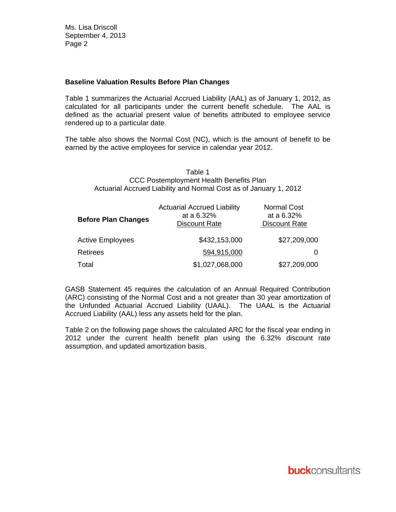#### **Baseline Valuation Results Before Plan Changes**

Table 1 summarizes the Actuarial Accrued Liability (AAL) as of January 1, 2012, as calculated for all participants under the current benefit schedule. The AAL is defined as the actuarial present value of benefits attributed to employee service rendered up to a particular date.

The table also shows the Normal Cost (NC), which is the amount of benefit to be earned by the active employees for service in calendar year 2012.

#### Table 1 CCC Postemployment Health Benefits Plan Actuarial Accrued Liability and Normal Cost as of January 1, 2012

| <b>Before Plan Changes</b> | <b>Actuarial Accrued Liability</b><br>at a 6.32%<br><b>Discount Rate</b> | <b>Normal Cost</b><br>at a 6.32%<br>Discount Rate |  |
|----------------------------|--------------------------------------------------------------------------|---------------------------------------------------|--|
| <b>Active Employees</b>    | \$432,153,000                                                            | \$27,209,000                                      |  |
| <b>Retirees</b>            | 594,915,000                                                              | 0                                                 |  |
| Total                      | \$1,027,068,000                                                          | \$27,209,000                                      |  |

GASB Statement 45 requires the calculation of an Annual Required Contribution (ARC) consisting of the Normal Cost and a not greater than 30 year amortization of the Unfunded Actuarial Accrued Liability (UAAL). The UAAL is the Actuarial Accrued Liability (AAL) less any assets held for the plan.

Table 2 on the following page shows the calculated ARC for the fiscal year ending in 2012 under the current health benefit plan using the 6.32% discount rate assumption, and updated amortization basis.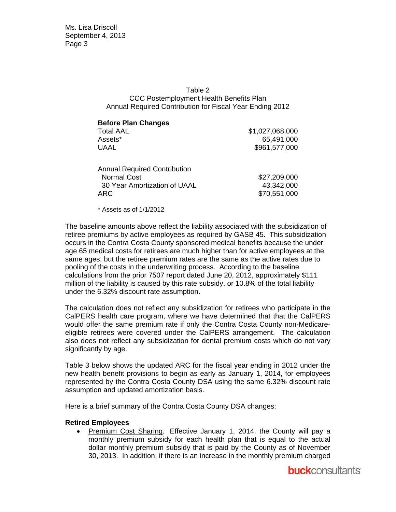Ms. Lisa Driscoll September 4, 2013 Page 3

#### Table 2 CCC Postemployment Health Benefits Plan Annual Required Contribution for Fiscal Year Ending 2012

| <b>Before Plan Changes</b><br><b>Total AAL</b>                                                          | \$1,027,068,000                            |
|---------------------------------------------------------------------------------------------------------|--------------------------------------------|
| Assets*                                                                                                 | 65,491,000                                 |
| <b>UAAL</b>                                                                                             | \$961,577,000                              |
| <b>Annual Required Contribution</b><br><b>Normal Cost</b><br>30 Year Amortization of UAAL<br><b>ARC</b> | \$27,209,000<br>43,342,000<br>\$70,551,000 |

\* Assets as of 1/1/2012

The baseline amounts above reflect the liability associated with the subsidization of retiree premiums by active employees as required by GASB 45. This subsidization occurs in the Contra Costa County sponsored medical benefits because the under age 65 medical costs for retirees are much higher than for active employees at the same ages, but the retiree premium rates are the same as the active rates due to pooling of the costs in the underwriting process. According to the baseline calculations from the prior 7507 report dated June 20, 2012, approximately \$111 million of the liability is caused by this rate subsidy, or 10.8% of the total liability under the 6.32% discount rate assumption.

The calculation does not reflect any subsidization for retirees who participate in the CalPERS health care program, where we have determined that that the CalPERS would offer the same premium rate if only the Contra Costa County non-Medicareeligible retirees were covered under the CalPERS arrangement. The calculation also does not reflect any subsidization for dental premium costs which do not vary significantly by age.

Table 3 below shows the updated ARC for the fiscal year ending in 2012 under the new health benefit provisions to begin as early as January 1, 2014, for employees represented by the Contra Costa County DSA using the same 6.32% discount rate assumption and updated amortization basis.

Here is a brief summary of the Contra Costa County DSA changes:

#### **Retired Employees**

• Premium Cost Sharing. Effective January 1, 2014, the County will pay a monthly premium subsidy for each health plan that is equal to the actual dollar monthly premium subsidy that is paid by the County as of November 30, 2013. In addition, if there is an increase in the monthly premium charged

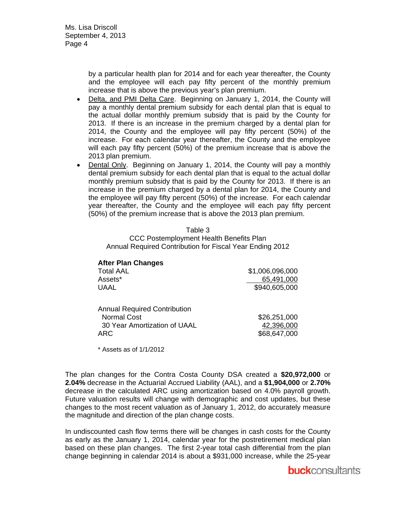Ms. Lisa Driscoll September 4, 2013 Page 4

> by a particular health plan for 2014 and for each year thereafter, the County and the employee will each pay fifty percent of the monthly premium increase that is above the previous year's plan premium.

- Delta, and PMI Delta Care. Beginning on January 1, 2014, the County will pay a monthly dental premium subsidy for each dental plan that is equal to the actual dollar monthly premium subsidy that is paid by the County for 2013. If there is an increase in the premium charged by a dental plan for 2014, the County and the employee will pay fifty percent (50%) of the increase. For each calendar year thereafter, the County and the employee will each pay fifty percent (50%) of the premium increase that is above the 2013 plan premium.
- Dental Only. Beginning on January 1, 2014, the County will pay a monthly dental premium subsidy for each dental plan that is equal to the actual dollar monthly premium subsidy that is paid by the County for 2013. If there is an increase in the premium charged by a dental plan for 2014, the County and the employee will pay fifty percent (50%) of the increase. For each calendar year thereafter, the County and the employee will each pay fifty percent (50%) of the premium increase that is above the 2013 plan premium.

Table 3

CCC Postemployment Health Benefits Plan Annual Required Contribution for Fiscal Year Ending 2012

| <b>After Plan Changes</b><br><b>Total AAL</b><br>Assets*<br><b>UAAL</b>                          | \$1,006,096,000<br>65,491,000<br>\$940,605,000 |
|--------------------------------------------------------------------------------------------------|------------------------------------------------|
| <b>Annual Required Contribution</b><br><b>Normal Cost</b><br>30 Year Amortization of UAAL<br>ARC | \$26,251,000<br>42,396,000<br>\$68,647,000     |

\* Assets as of 1/1/2012

The plan changes for the Contra Costa County DSA created a **\$20,972,000** or **2.04%** decrease in the Actuarial Accrued Liability (AAL), and a **\$1,904,000** or **2.70%** decrease in the calculated ARC using amortization based on 4.0% payroll growth. Future valuation results will change with demographic and cost updates, but these changes to the most recent valuation as of January 1, 2012, do accurately measure the magnitude and direction of the plan change costs.

In undiscounted cash flow terms there will be changes in cash costs for the County as early as the January 1, 2014, calendar year for the postretirement medical plan based on these plan changes. The first 2-year total cash differential from the plan change beginning in calendar 2014 is about a \$931,000 increase, while the 25-year

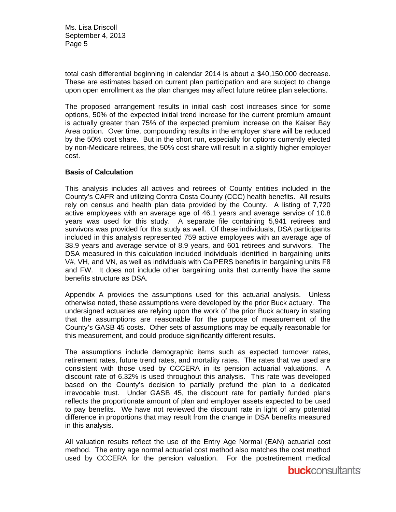Ms. Lisa Driscoll September 4, 2013 Page 5

total cash differential beginning in calendar 2014 is about a \$40,150,000 decrease. These are estimates based on current plan participation and are subject to change upon open enrollment as the plan changes may affect future retiree plan selections.

The proposed arrangement results in initial cash cost increases since for some options, 50% of the expected initial trend increase for the current premium amount is actually greater than 75% of the expected premium increase on the Kaiser Bay Area option. Over time, compounding results in the employer share will be reduced by the 50% cost share. But in the short run, especially for options currently elected by non-Medicare retirees, the 50% cost share will result in a slightly higher employer cost.

#### **Basis of Calculation**

This analysis includes all actives and retirees of County entities included in the County's CAFR and utilizing Contra Costa County (CCC) health benefits. All results rely on census and health plan data provided by the County. A listing of 7,720 active employees with an average age of 46.1 years and average service of 10.8 years was used for this study. A separate file containing 5,941 retirees and survivors was provided for this study as well. Of these individuals, DSA participants included in this analysis represented 759 active employees with an average age of 38.9 years and average service of 8.9 years, and 601 retirees and survivors. The DSA measured in this calculation included individuals identified in bargaining units V#, VH, and VN, as well as individuals with CalPERS benefits in bargaining units F8 and FW. It does not include other bargaining units that currently have the same benefits structure as DSA.

Appendix A provides the assumptions used for this actuarial analysis. Unless otherwise noted, these assumptions were developed by the prior Buck actuary. The undersigned actuaries are relying upon the work of the prior Buck actuary in stating that the assumptions are reasonable for the purpose of measurement of the County's GASB 45 costs. Other sets of assumptions may be equally reasonable for this measurement, and could produce significantly different results.

The assumptions include demographic items such as expected turnover rates, retirement rates, future trend rates, and mortality rates. The rates that we used are consistent with those used by CCCERA in its pension actuarial valuations. A discount rate of 6.32% is used throughout this analysis. This rate was developed based on the County's decision to partially prefund the plan to a dedicated irrevocable trust. Under GASB 45, the discount rate for partially funded plans reflects the proportionate amount of plan and employer assets expected to be used to pay benefits. We have not reviewed the discount rate in light of any potential difference in proportions that may result from the change in DSA benefits measured in this analysis.

All valuation results reflect the use of the Entry Age Normal (EAN) actuarial cost method. The entry age normal actuarial cost method also matches the cost method used by CCCERA for the pension valuation. For the postretirement medical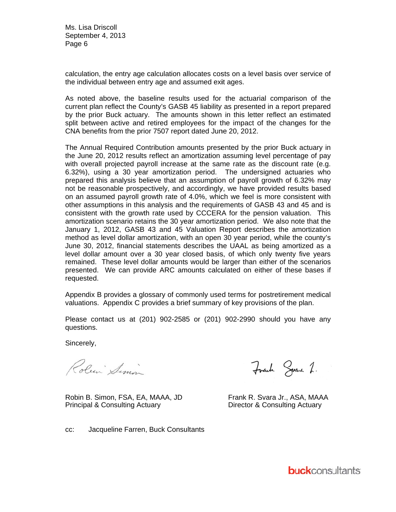Ms. Lisa Driscoll Se ptember 4, 2 2013 Pa ge 6

calculation, the entry age calculation allocates costs on a level basis over service of the individual between entry age and assumed exit ages.

As noted above, the baseline results used for the actuarial comparison of the current plan reflect the County's GASB 45 liability as presented in a report prepared by the prior Buck actuary. The amounts shown in this letter reflect an estimated split between active and retired employees for the impact of the changes for the CNA benefits from the prior 7507 report dated June 20, 2012.

The Annual Required Contribution amounts presented by the prior Buck actuary in the June 20, 2012 results reflect an amortization assuming level percentage of pay with overall projected payroll increase at the same rate as the discount rate (e.g. 6.32%), using a 30 year amortization period. The undersigned actuaries who prepared this analysis believe that an assumption of payroll growth of 6.32% may not be reasonable prospectively, and accordingly, we have provided results based on an assumed payroll growth rate of 4.0%, which we feel is more consistent with other assumptions in this analysis and the requirements of GASB 43 and 45 and is consistent with the growth rate used by CCCERA for the pension valuation. This amortization scenario retains the 30 year amortization period. We also note that the January 1, 2012, GASB 43 and 45 Valuation Report describes the amortization method as level dollar amortization, with an open 30 year period, while the county's June 30, 2012, financial statements describes the UAAL as being amortized as a level dollar amount over a 30 year closed basis, of which only twenty five years remained. These level dollar amounts would be larger than either of the scenarios presented. We can provide ARC amounts calculated on either of these bases if req quested.

Appendix B provides a glossary of commonly used terms for postretirement medical valuations. Appendix C provides a brief summary of key provisions of the plan.

Please contact us at (201) 902-2585 or (201) 902-2990 should you have any questions.

Sincerely,

Roben Simon

Robin B. Simon, FSA, EA, MAAA, JD Principal & Consulting Actuary

Frank Spare 2.

Frank R. Svara Jr., ASA, MAAA Director & & Consulting Actuary

cc: Jacqueline Farren, Buck Consultants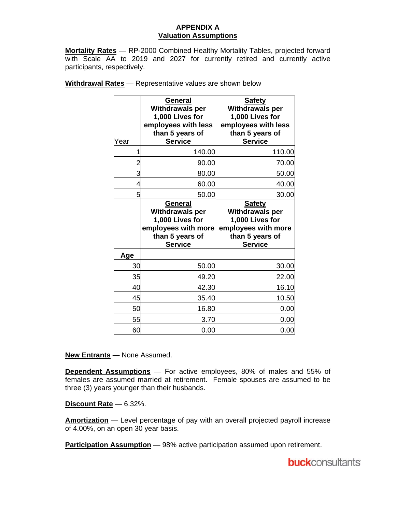#### **APPENDIX A Valuation Assumptions**

**Mortality Rates** — RP-2000 Combined Healthy Mortality Tables, projected forward with Scale AA to 2019 and 2027 for currently retired and currently active participants, respectively.

| Year | General<br><b>Withdrawals per</b><br>1,000 Lives for<br>employees with less<br>than 5 years of<br><b>Service</b> | <b>Safety</b><br><b>Withdrawals per</b><br>1,000 Lives for<br>employees with less<br>than 5 years of<br><b>Service</b> |
|------|------------------------------------------------------------------------------------------------------------------|------------------------------------------------------------------------------------------------------------------------|
| 1    | 140.00                                                                                                           | 110.00                                                                                                                 |
| 2    | 90.00                                                                                                            | 70.00                                                                                                                  |
| 3    | 80.00                                                                                                            | 50.00                                                                                                                  |
| 4    | 60.00                                                                                                            | 40.00                                                                                                                  |
| 5    | 50.00                                                                                                            | 30.00                                                                                                                  |
|      | General<br>Withdrawals per                                                                                       | <b>Safety</b><br><b>Withdrawals per</b>                                                                                |
|      | 1,000 Lives for<br>employees with more<br>than 5 years of<br><b>Service</b>                                      | 1,000 Lives for<br>employees with more<br>than 5 years of<br><b>Service</b>                                            |
| Age  |                                                                                                                  |                                                                                                                        |
| 30   | 50.00                                                                                                            | 30.00                                                                                                                  |
| 35   | 49.20                                                                                                            | 22.00                                                                                                                  |
| 40   | 42.30                                                                                                            | 16.10                                                                                                                  |
| 45   | 35.40                                                                                                            | 10.50                                                                                                                  |
| 50   | 16.80                                                                                                            | 0.00                                                                                                                   |
| 55   | 3.70                                                                                                             | 0.00                                                                                                                   |

**Withdrawal Rates** — Representative values are shown below

**New Entrants** — None Assumed.

**Dependent Assumptions** — For active employees, 80% of males and 55% of females are assumed married at retirement. Female spouses are assumed to be three (3) years younger than their husbands.

**Discount Rate** — 6.32%.

**Amortization** — Level percentage of pay with an overall projected payroll increase of 4.00%, on an open 30 year basis.

**Participation Assumption** — 98% active participation assumed upon retirement.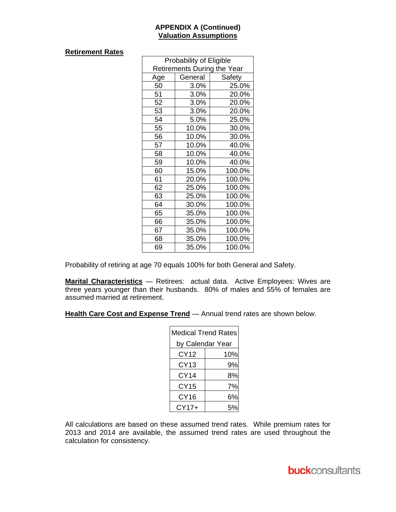#### **APPENDIX A (Continued) Valuation Assumptions**

#### **Retirement Rates**

| Probability of Eligible            |                   |        |  |  |
|------------------------------------|-------------------|--------|--|--|
| <b>Retirements During the Year</b> |                   |        |  |  |
| Age                                | General<br>Safety |        |  |  |
| 50                                 | 3.0%              | 25.0%  |  |  |
| 51                                 | 3.0%              | 20.0%  |  |  |
| 52                                 | 3.0%              | 20.0%  |  |  |
| 53                                 | 3.0%              | 20.0%  |  |  |
| 54                                 | 5.0%              | 25.0%  |  |  |
| 55                                 | 10.0%             | 30.0%  |  |  |
| 56                                 | 10.0%             | 30.0%  |  |  |
| 57                                 | 10.0%             | 40.0%  |  |  |
| 58                                 | 10.0%             | 40.0%  |  |  |
| 59                                 | 10.0%             | 40.0%  |  |  |
| 60                                 | 15.0%             | 100.0% |  |  |
| 61                                 | 20.0%             | 100.0% |  |  |
| 62                                 | 25.0%             | 100.0% |  |  |
| 63                                 | 25.0%             | 100.0% |  |  |
| 64                                 | 30.0%             | 100.0% |  |  |
| 65                                 | 35.0%             | 100.0% |  |  |
| 66                                 | 35.0%             | 100.0% |  |  |
| 67                                 | 35.0%             | 100.0% |  |  |
| 68                                 | 35.0%             | 100.0% |  |  |
| 69                                 | 35.0%             | 100.0% |  |  |

Probability of retiring at age 70 equals 100% for both General and Safety.

**Marital Characteristics** — Retirees: actual data. Active Employees: Wives are three years younger than their husbands. 80% of males and 55% of females are assumed married at retirement.

**Health Care Cost and Expense Trend** — Annual trend rates are shown below.

| Medical Trend Rates |     |  |
|---------------------|-----|--|
| by Calendar Year    |     |  |
| CY12                | 10% |  |
| CY13                | 9%  |  |
| <b>CY14</b>         | 8%  |  |
| <b>CY15</b>         | 7%  |  |
| CY16                | 6%  |  |
| CY17+               |     |  |

All calculations are based on these assumed trend rates. While premium rates for 2013 and 2014 are available, the assumed trend rates are used throughout the calculation for consistency.

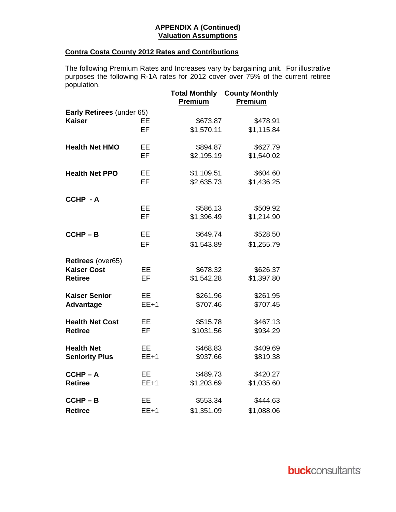#### **APPENDIX A (Continued) Valuation Assumptions**

### **Contra Costa County 2012 Rates and Contributions**

The following Premium Rates and Increases vary by bargaining unit. For illustrative purposes the following R-1A rates for 2012 cover over 75% of the current retiree population.

|                           |           | <b>Total Monthly</b><br>Premium | <b>County Monthly</b><br>Premium |
|---------------------------|-----------|---------------------------------|----------------------------------|
| Early Retirees (under 65) |           |                                 |                                  |
| <b>Kaiser</b>             | EE        | \$673.87                        | \$478.91                         |
|                           | EF        | \$1,570.11                      | \$1,115.84                       |
| <b>Health Net HMO</b>     | EE        | \$894.87                        | \$627.79                         |
|                           | <b>EF</b> | \$2,195.19                      | \$1,540.02                       |
| <b>Health Net PPO</b>     | EE        | \$1,109.51                      | \$604.60                         |
|                           | <b>EF</b> | \$2,635.73                      | \$1,436.25                       |
| CCHP - A                  |           |                                 |                                  |
|                           | EE        | \$586.13                        | \$509.92                         |
|                           | <b>EF</b> | \$1,396.49                      | \$1,214.90                       |
| $CCHP - B$                | <b>EE</b> | \$649.74                        | \$528.50                         |
|                           | EF        | \$1,543.89                      | \$1,255.79                       |
| Retirees (over65)         |           |                                 |                                  |
| <b>Kaiser Cost</b>        | EE        | \$678.32                        | \$626.37                         |
| <b>Retiree</b>            | EF        | \$1,542.28                      | \$1,397.80                       |
| <b>Kaiser Senior</b>      | EE        | \$261.96                        | \$261.95                         |
| <b>Advantage</b>          | $EE+1$    | \$707.46                        | \$707.45                         |
| <b>Health Net Cost</b>    | EE        | \$515.78                        | \$467.13                         |
| <b>Retiree</b>            | EF        | \$1031.56                       | \$934.29                         |
| <b>Health Net</b>         | EE        | \$468.83                        | \$409.69                         |
| <b>Seniority Plus</b>     | $EE+1$    | \$937.66                        | \$819.38                         |
| $CCHP - A$                | EE        | \$489.73                        | \$420.27                         |
| <b>Retiree</b>            | $EE+1$    | \$1,203.69                      | \$1,035.60                       |
| $CCHP - B$                | EE        | \$553.34                        | \$444.63                         |
| <b>Retiree</b>            | $EE+1$    | \$1,351.09                      | \$1,088.06                       |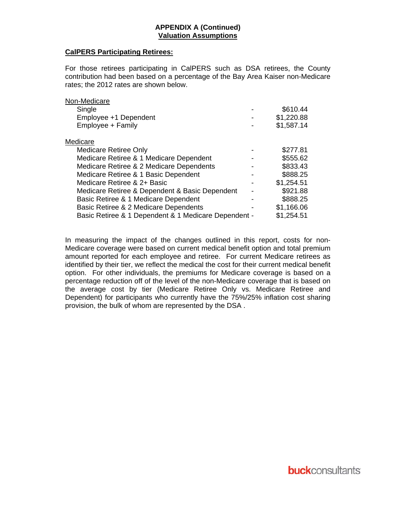#### **APPENDIX A (Continued) Valuation Assumptions**

#### **CalPERS Participating Retirees:**

For those retirees participating in CalPERS such as DSA retirees, the County contribution had been based on a percentage of the Bay Area Kaiser non-Medicare rates; the 2012 rates are shown below.

| Non-Medicare                                         |            |
|------------------------------------------------------|------------|
| Single                                               | \$610.44   |
| Employee +1 Dependent                                | \$1,220.88 |
| Employee + Family                                    | \$1,587.14 |
| Medicare                                             |            |
| <b>Medicare Retiree Only</b>                         | \$277.81   |
| Medicare Retiree & 1 Medicare Dependent              | \$555.62   |
| Medicare Retiree & 2 Medicare Dependents             | \$833.43   |
| Medicare Retiree & 1 Basic Dependent                 | \$888.25   |
| Medicare Retiree & 2+ Basic                          | \$1,254.51 |
| Medicare Retiree & Dependent & Basic Dependent       | \$921.88   |
| Basic Retiree & 1 Medicare Dependent                 | \$888.25   |
| Basic Retiree & 2 Medicare Dependents                | \$1,166.06 |
| Basic Retiree & 1 Dependent & 1 Medicare Dependent - | \$1,254.51 |
|                                                      |            |

In measuring the impact of the changes outlined in this report, costs for non-Medicare coverage were based on current medical benefit option and total premium amount reported for each employee and retiree. For current Medicare retirees as identified by their tier, we reflect the medical the cost for their current medical benefit option. For other individuals, the premiums for Medicare coverage is based on a percentage reduction off of the level of the non-Medicare coverage that is based on the average cost by tier (Medicare Retiree Only vs. Medicare Retiree and Dependent) for participants who currently have the 75%/25% inflation cost sharing provision, the bulk of whom are represented by the DSA .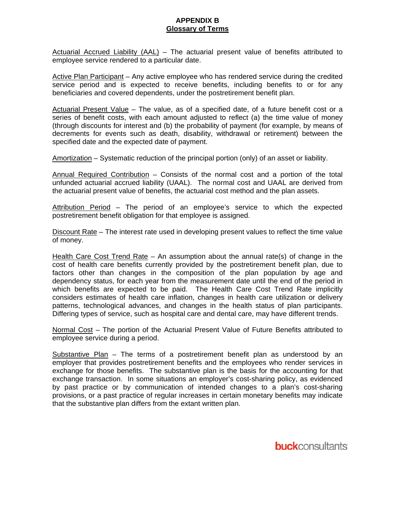#### **APPENDIX B Glossary of Terms**

Actuarial Accrued Liability (AAL) – The actuarial present value of benefits attributed to employee service rendered to a particular date.

Active Plan Participant – Any active employee who has rendered service during the credited service period and is expected to receive benefits, including benefits to or for any beneficiaries and covered dependents, under the postretirement benefit plan.

Actuarial Present Value - The value, as of a specified date, of a future benefit cost or a series of benefit costs, with each amount adjusted to reflect (a) the time value of money (through discounts for interest and (b) the probability of payment (for example, by means of decrements for events such as death, disability, withdrawal or retirement) between the specified date and the expected date of payment.

Amortization – Systematic reduction of the principal portion (only) of an asset or liability.

Annual Required Contribution – Consists of the normal cost and a portion of the total unfunded actuarial accrued liability (UAAL). The normal cost and UAAL are derived from the actuarial present value of benefits, the actuarial cost method and the plan assets.

Attribution Period – The period of an employee's service to which the expected postretirement benefit obligation for that employee is assigned.

Discount Rate – The interest rate used in developing present values to reflect the time value of money.

Health Care Cost Trend Rate – An assumption about the annual rate(s) of change in the cost of health care benefits currently provided by the postretirement benefit plan, due to factors other than changes in the composition of the plan population by age and dependency status, for each year from the measurement date until the end of the period in which benefits are expected to be paid. The Health Care Cost Trend Rate implicitly considers estimates of health care inflation, changes in health care utilization or delivery patterns, technological advances, and changes in the health status of plan participants. Differing types of service, such as hospital care and dental care, may have different trends.

Normal Cost - The portion of the Actuarial Present Value of Future Benefits attributed to employee service during a period.

Substantive Plan – The terms of a postretirement benefit plan as understood by an employer that provides postretirement benefits and the employees who render services in exchange for those benefits. The substantive plan is the basis for the accounting for that exchange transaction. In some situations an employer's cost-sharing policy, as evidenced by past practice or by communication of intended changes to a plan's cost-sharing provisions, or a past practice of regular increases in certain monetary benefits may indicate that the substantive plan differs from the extant written plan.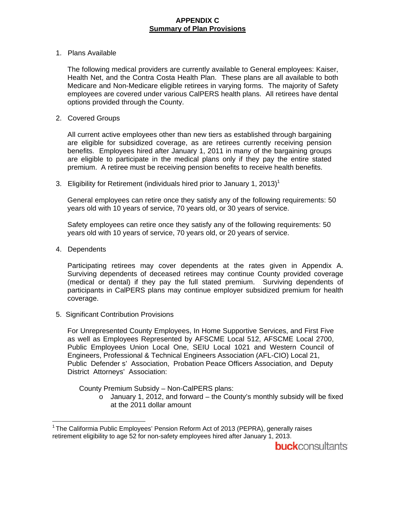#### **APPENDIX C Summary of Plan Provisions**

#### 1. Plans Available

The following medical providers are currently available to General employees: Kaiser, Health Net, and the Contra Costa Health Plan. These plans are all available to both Medicare and Non-Medicare eligible retirees in varying forms. The majority of Safety employees are covered under various CalPERS health plans. All retirees have dental options provided through the County.

#### 2. Covered Groups

All current active employees other than new tiers as established through bargaining are eligible for subsidized coverage, as are retirees currently receiving pension benefits. Employees hired after January 1, 2011 in many of the bargaining groups are eligible to participate in the medical plans only if they pay the entire stated premium. A retiree must be receiving pension benefits to receive health benefits.

3. Eligibility for Retirement (individuals hired prior to January 1, 2013)<sup>1</sup>

General employees can retire once they satisfy any of the following requirements: 50 years old with 10 years of service, 70 years old, or 30 years of service.

Safety employees can retire once they satisfy any of the following requirements: 50 years old with 10 years of service, 70 years old, or 20 years of service.

4. Dependents

Participating retirees may cover dependents at the rates given in Appendix A. Surviving dependents of deceased retirees may continue County provided coverage (medical or dental) if they pay the full stated premium. Surviving dependents of participants in CalPERS plans may continue employer subsidized premium for health coverage.

5. Significant Contribution Provisions

For Unrepresented County Employees, In Home Supportive Services, and First Five as well as Employees Represented by AFSCME Local 512, AFSCME Local 2700, Public Employees Union Local One, SEIU Local 1021 and Western Council of Engineers, Professional & Technical Engineers Association (AFL-CIO) Local 21, Public Defender s' Association, Probation Peace Officers Association, and Deputy District Attorneys' Association:

County Premium Subsidy – Non-CalPERS plans:

 $\circ$  January 1, 2012, and forward – the County's monthly subsidy will be fixed at the 2011 dollar amount

 $\overline{a}$ <sup>1</sup> The Califormia Public Employees' Pension Reform Act of 2013 (PEPRA), generally raises retirement eligibility to age 52 for non-safety employees hired after January 1, 2013.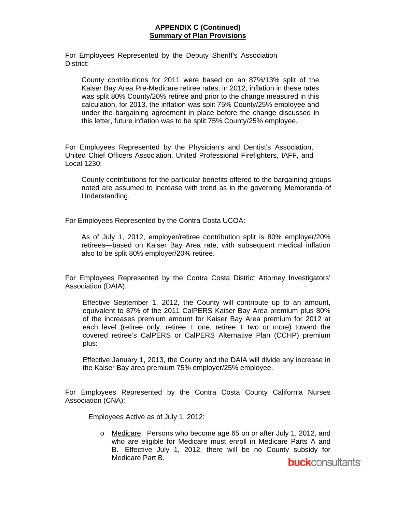#### **APPENDIX C (Continued) Summary of Plan Provisions**

For Employees Represented by the Deputy Sheriff's Association District:

County contributions for 2011 were based on an 87%/13% split of the Kaiser Bay Area Pre-Medicare retiree rates; in 2012, inflation in these rates was split 80% County/20% retiree and prior to the change measured in this calculation, for 2013, the inflation was split 75% County/25% employee and under the bargaining agreement in place before the change discussed in this letter, future inflation was to be split 75% County/25% employee.

For Employees Represented by the Physician's and Dentist's Association, United Chief Officers Association, United Professional Firefighters, IAFF, and Local 1230:

County contributions for the particular benefits offered to the bargaining groups noted are assumed to increase with trend as in the governing Memoranda of Understanding.

For Employees Represented by the Contra Costa UCOA:

As of July 1, 2012, employer/retiree contribution split is 80% employer/20% retirees—based on Kaiser Bay Area rate, with subsequent medical inflation also to be split 80% employer/20% retiree.

For Employees Represented by the Contra Costa District Attorney Investigators' Association (DAIA):

Effective September 1, 2012, the County will contribute up to an amount, equivalent to 87% of the 2011 CalPERS Kaiser Bay Area premium plus 80% of the increases premium amount for Kaiser Bay Area premium for 2012 at each level (retiree only, retiree + one, retiree + two or more) toward the covered retiree's CalPERS or CalPERS Alternative Plan (CCHP) premium plus:

Effective January 1, 2013, the County and the DAIA will divide any increase in the Kaiser Bay area premium 75% employer/25% employee.

For Employees Represented by the Contra Costa County California Nurses Association (CNA):

Employees Active as of July 1, 2012:

o Medicare. Persons who become age 65 on or after July 1, 2012, and who are eligible for Medicare must enroll in Medicare Parts A and B. Effective July 1, 2012, there will be no County subsidy for Medicare Part B.